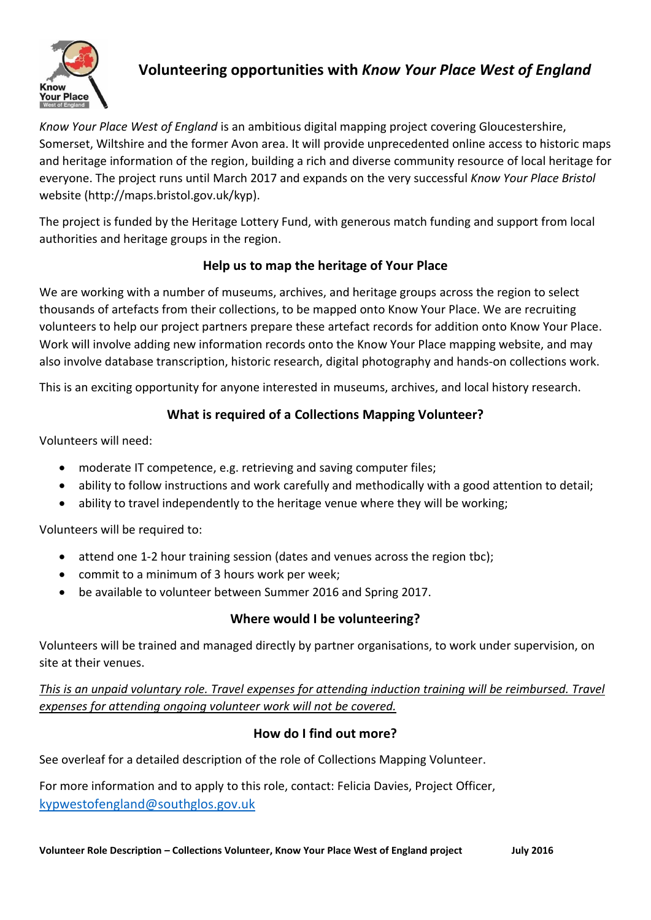

# **Volunteering opportunities with** *Know Your Place West of England*

*Know Your Place West of England* is an ambitious digital mapping project covering Gloucestershire, Somerset, Wiltshire and the former Avon area. It will provide unprecedented online access to historic maps and heritage information of the region, building a rich and diverse community resource of local heritage for everyone. The project runs until March 2017 and expands on the very successful *Know Your Place Bristol* website (http://maps.bristol.gov.uk/kyp).

The project is funded by the Heritage Lottery Fund, with generous match funding and support from local authorities and heritage groups in the region.

## **Help us to map the heritage of Your Place**

We are working with a number of museums, archives, and heritage groups across the region to select thousands of artefacts from their collections, to be mapped onto Know Your Place. We are recruiting volunteers to help our project partners prepare these artefact records for addition onto Know Your Place. Work will involve adding new information records onto the Know Your Place mapping website, and may also involve database transcription, historic research, digital photography and hands-on collections work.

This is an exciting opportunity for anyone interested in museums, archives, and local history research.

## **What is required of a Collections Mapping Volunteer?**

Volunteers will need:

- moderate IT competence, e.g. retrieving and saving computer files;
- ability to follow instructions and work carefully and methodically with a good attention to detail;
- ability to travel independently to the heritage venue where they will be working;

Volunteers will be required to:

- attend one 1-2 hour training session (dates and venues across the region tbc);
- commit to a minimum of 3 hours work per week;
- be available to volunteer between Summer 2016 and Spring 2017.

#### **Where would I be volunteering?**

Volunteers will be trained and managed directly by partner organisations, to work under supervision, on site at their venues.

*This is an unpaid voluntary role. Travel expenses for attending induction training will be reimbursed. Travel expenses for attending ongoing volunteer work will not be covered.*

#### **How do I find out more?**

See overleaf for a detailed description of the role of Collections Mapping Volunteer.

For more information and to apply to this role, contact: Felicia Davies, Project Officer, [kypwestofengland@southglos.gov.uk](mailto:kypwestofengland@southglos.gov.uk)